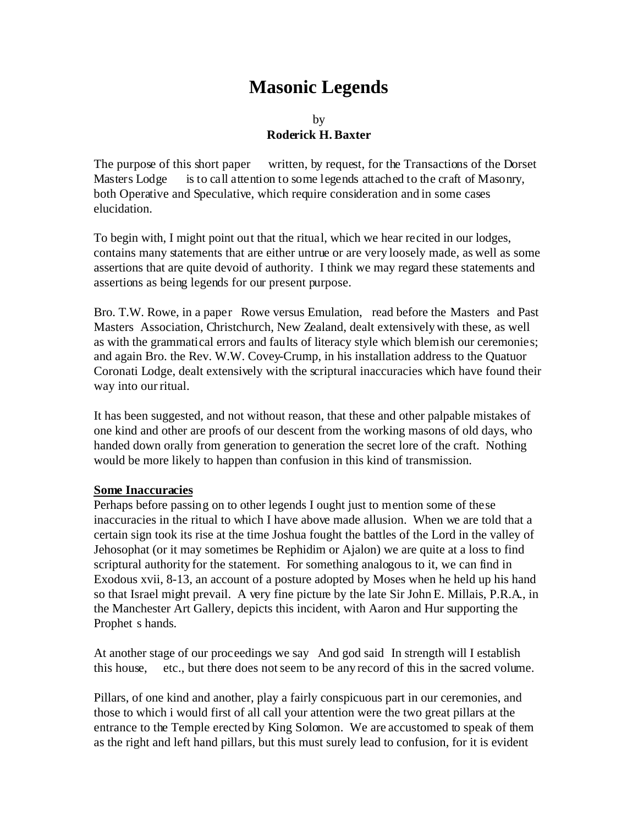# **Masonic Legends**

## by **Roderick H. Baxter**

The purpose of this short paper written, by request, for the Transactions of the Dorset Masters Lodge is to call attention to some legends attached to the craft of Masonry, both Operative and Speculative, which require consideration and in some cases elucidation.

To begin with, I might point out that the ritual, which we hear recited in our lodges, contains many statements that are either untrue or are very loosely made, as well as some assertions that are quite devoid of authority. I think we may regard these statements and assertions as being legends for our present purpose.

Bro. T.W. Rowe, in a paper Rowe versus Emulation, read before the Masters and Past Masters Association, Christchurch, New Zealand, dealt extensively with these, as well as with the grammatical errors and faults of literacy style which blemish our ceremonies; and again Bro. the Rev. W.W. Covey-Crump, in his installation address to the Quatuor Coronati Lodge, dealt extensively with the scriptural inaccuracies which have found their way into our ritual.

It has been suggested, and not without reason, that these and other palpable mistakes of one kind and other are proofs of our descent from the working masons of old days, who handed down orally from generation to generation the secret lore of the craft. Nothing would be more likely to happen than confusion in this kind of transmission.

## **Some Inaccuracies**

Perhaps before passing on to other legends I ought just to mention some of these inaccuracies in the ritual to which I have above made allusion. When we are told that a certain sign took its rise at the time Joshua fought the battles of the Lord in the valley of Jehosophat (or it may sometimes be Rephidim or Ajalon) we are quite at a loss to find scriptural authority for the statement. For something analogous to it, we can find in Exodous xvii, 8-13, an account of a posture adopted by Moses when he held up his hand so that Israel might prevail. A very fine picture by the late Sir John E. Millais, P.R.A., in the Manchester Art Gallery, depicts this incident, with Aaron and Hur supporting the Prophet s hands.

At another stage of our proceedings we say And god said In strength will I establish this house, etc., but there does not seem to be any record of this in the sacred volume.

Pillars, of one kind and another, play a fairly conspicuous part in our ceremonies, and those to which i would first of all call your attention were the two great pillars at the entrance to the Temple erected by King Solomon. We are accustomed to speak of them as the right and left hand pillars, but this must surely lead to confusion, for it is evident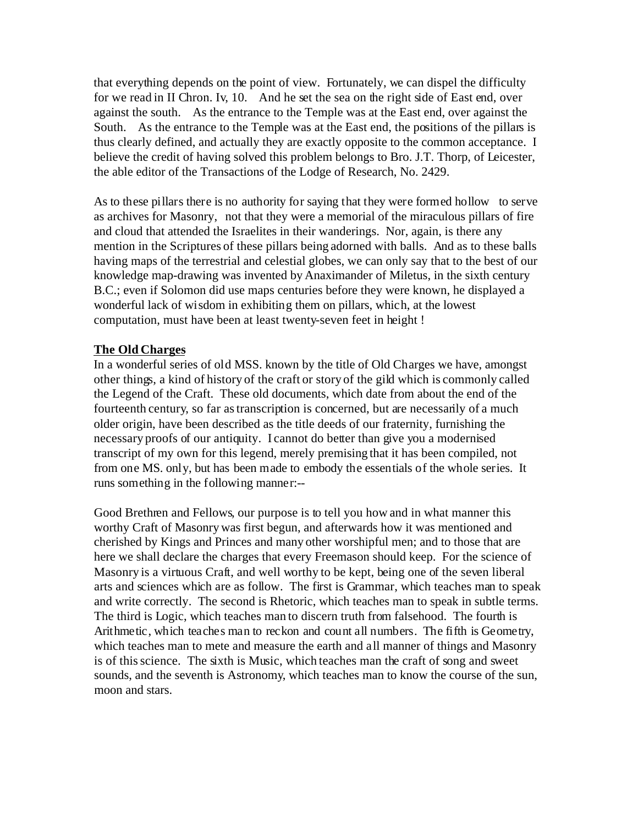that everything depends on the point of view. Fortunately, we can dispel the difficulty for we read in II Chron. Iv, 10. And he set the sea on the right side of East end, over against the south. As the entrance to the Temple was at the East end, over against the South. As the entrance to the Temple was at the East end, the positions of the pillars is thus clearly defined, and actually they are exactly opposite to the common acceptance. I believe the credit of having solved this problem belongs to Bro. J.T. Thorp, of Leicester, the able editor of the Transactions of the Lodge of Research, No. 2429.

As to these pillars there is no authority for saying that they were formed hollow to serve as archives for Masonry, not that they were a memorial of the miraculous pillars of fire and cloud that attended the Israelites in their wanderings. Nor, again, is there any mention in the Scriptures of these pillars being adorned with balls. And as to these balls having maps of the terrestrial and celestial globes, we can only say that to the best of our knowledge map-drawing was invented by Anaximander of Miletus, in the sixth century B.C.; even if Solomon did use maps centuries before they were known, he displayed a wonderful lack of wisdom in exhibiting them on pillars, which, at the lowest computation, must have been at least twenty-seven feet in height !

## **The Old Charges**

In a wonderful series of old MSS. known by the title of Old Charges we have, amongst other things, a kind of history of the craft or story of the gild which is commonly called the Legend of the Craft. These old documents, which date from about the end of the fourteenth century, so far as transcription is concerned, but are necessarily of a much older origin, have been described as the title deeds of our fraternity, furnishing the necessary proofs of our antiquity. I cannot do better than give you a modernised transcript of my own for this legend, merely premising that it has been compiled, not from one MS. only, but has been made to embody the essentials of the whole series. It runs something in the following manner:--

Good Brethren and Fellows, our purpose is to tell you how and in what manner this worthy Craft of Masonry was first begun, and afterwards how it was mentioned and cherished by Kings and Princes and many other worshipful men; and to those that are here we shall declare the charges that every Freemason should keep. For the science of Masonry is a virtuous Craft, and well worthy to be kept, being one of the seven liberal arts and sciences which are as follow. The first is Grammar, which teaches man to speak and write correctly. The second is Rhetoric, which teaches man to speak in subtle terms. The third is Logic, which teaches man to discern truth from falsehood. The fourth is Arithmetic, which teaches man to reckon and count all numbers. The fifth is Geometry, which teaches man to mete and measure the earth and all manner of things and Masonry is of this science. The sixth is Music, which teaches man the craft of song and sweet sounds, and the seventh is Astronomy, which teaches man to know the course of the sun, moon and stars.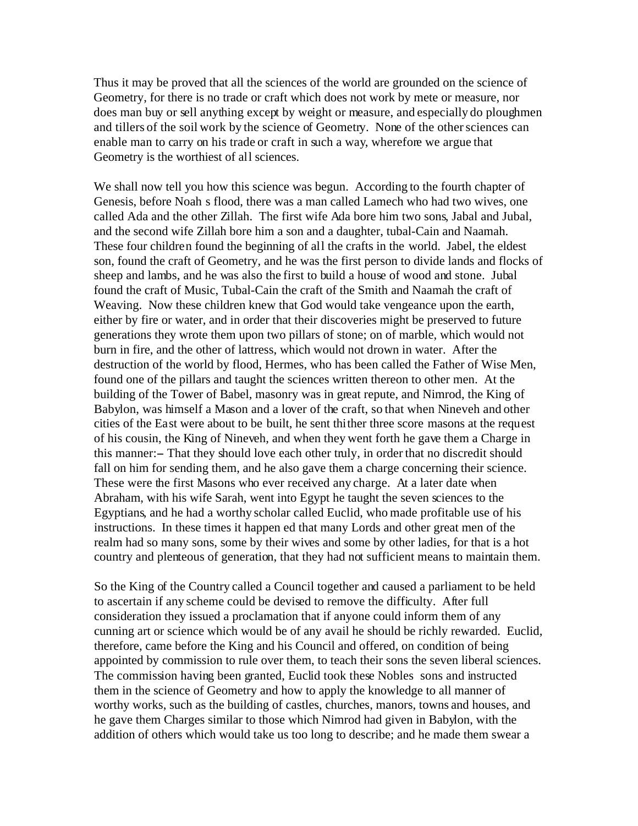Thus it may be proved that all the sciences of the world are grounded on the science of Geometry, for there is no trade or craft which does not work by mete or measure, nor does man buy or sell anything except by weight or measure, and especially do ploughmen and tillers of the soil work by the science of Geometry. None of the other sciences can enable man to carry on his trade or craft in such a way, wherefore we argue that Geometry is the worthiest of all sciences.

We shall now tell you how this science was begun. According to the fourth chapter of Genesis, before Noah s flood, there was a man called Lamech who had two wives, one called Ada and the other Zillah. The first wife Ada bore him two sons, Jabal and Jubal, and the second wife Zillah bore him a son and a daughter, tubal-Cain and Naamah. These four children found the beginning of all the crafts in the world. Jabel, the eldest son, found the craft of Geometry, and he was the first person to divide lands and flocks of sheep and lambs, and he was also the first to build a house of wood and stone. Jubal found the craft of Music, Tubal-Cain the craft of the Smith and Naamah the craft of Weaving. Now these children knew that God would take vengeance upon the earth, either by fire or water, and in order that their discoveries might be preserved to future generations they wrote them upon two pillars of stone; on of marble, which would not burn in fire, and the other of lattress, which would not drown in water. After the destruction of the world by flood, Hermes, who has been called the Father of Wise Men, found one of the pillars and taught the sciences written thereon to other men. At the building of the Tower of Babel, masonry was in great repute, and Nimrod, the King of Babylon, was himself a Mason and a lover of the craft, so that when Nineveh and other cities of the East were about to be built, he sent thither three score masons at the request of his cousin, the King of Nineveh, and when they went forth he gave them a Charge in this manner: -- That they should love each other truly, in order that no discredit should fall on him for sending them, and he also gave them a charge concerning their science. These were the first Masons who ever received any charge. At a later date when Abraham, with his wife Sarah, went into Egypt he taught the seven sciences to the Egyptians, and he had a worthy scholar called Euclid, who made profitable use of his instructions. In these times it happen ed that many Lords and other great men of the realm had so many sons, some by their wives and some by other ladies, for that is a hot country and plenteous of generation, that they had not sufficient means to maintain them.

So the King of the Country called a Council together and caused a parliament to be held to ascertain if any scheme could be devised to remove the difficulty. After full consideration they issued a proclamation that if anyone could inform them of any cunning art or science which would be of any avail he should be richly rewarded. Euclid, therefore, came before the King and his Council and offered, on condition of being appointed by commission to rule over them, to teach their sons the seven liberal sciences. The commission having been granted, Euclid took these Nobles sons and instructed them in the science of Geometry and how to apply the knowledge to all manner of worthy works, such as the building of castles, churches, manors, towns and houses, and he gave them Charges similar to those which Nimrod had given in Babylon, with the addition of others which would take us too long to describe; and he made them swear a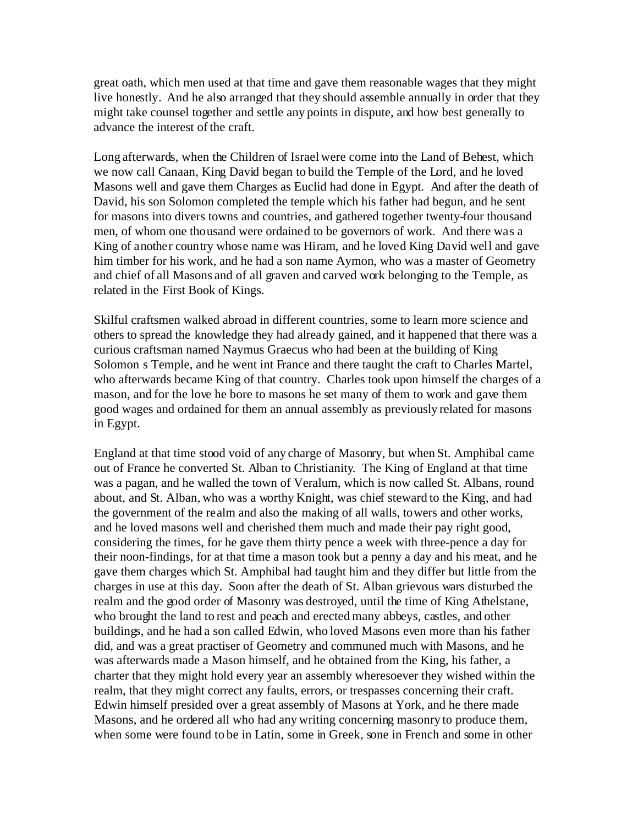great oath, which men used at that time and gave them reasonable wages that they might live honestly. And he also arranged that they should assemble annually in order that they might take counsel together and settle any points in dispute, and how best generally to advance the interest of the craft.

Long afterwards, when the Children of Israel were come into the Land of Behest, which we now call Canaan, King David began to build the Temple of the Lord, and he loved Masons well and gave them Charges as Euclid had done in Egypt. And after the death of David, his son Solomon completed the temple which his father had begun, and he sent for masons into divers towns and countries, and gathered together twenty-four thousand men, of whom one thousand were ordained to be governors of work. And there was a King of another country whose name was Hiram, and he loved King David well and gave him timber for his work, and he had a son name Aymon, who was a master of Geometry and chief of all Masons and of all graven and carved work belonging to the Temple, as related in the First Book of Kings.

Skilful craftsmen walked abroad in different countries, some to learn more science and others to spread the knowledge they had already gained, and it happened that there was a curious craftsman named Naymus Graecus who had been at the building of King Solomon s Temple, and he went int France and there taught the craft to Charles Martel, who afterwards became King of that country. Charles took upon himself the charges of a mason, and for the love he bore to masons he set many of them to work and gave them good wages and ordained for them an annual assembly as previously related for masons in Egypt.

England at that time stood void of any charge of Masonry, but when St. Amphibal came out of France he converted St. Alban to Christianity. The King of England at that time was a pagan, and he walled the town of Veralum, which is now called St. Albans, round about, and St. Alban, who was a worthy Knight, was chief steward to the King, and had the government of the realm and also the making of all walls, towers and other works, and he loved masons well and cherished them much and made their pay right good, considering the times, for he gave them thirty pence a week with three-pence a day for their noon-findings, for at that time a mason took but a penny a day and his meat, and he gave them charges which St. Amphibal had taught him and they differ but little from the charges in use at this day. Soon after the death of St. Alban grievous wars disturbed the realm and the good order of Masonry was destroyed, until the time of King Athelstane, who brought the land to rest and peach and erected many abbeys, castles, and other buildings, and he had a son called Edwin, who loved Masons even more than his father did, and was a great practiser of Geometry and communed much with Masons, and he was afterwards made a Mason himself, and he obtained from the King, his father, a charter that they might hold every year an assembly wheresoever they wished within the realm, that they might correct any faults, errors, or trespasses concerning their craft. Edwin himself presided over a great assembly of Masons at York, and he there made Masons, and he ordered all who had any writing concerning masonry to produce them, when some were found to be in Latin, some in Greek, sone in French and some in other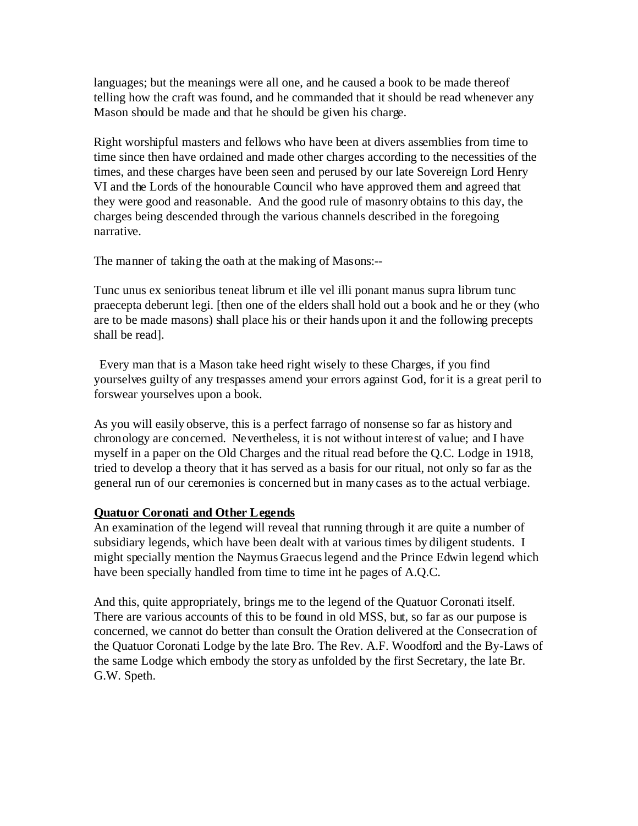languages; but the meanings were all one, and he caused a book to be made thereof telling how the craft was found, and he commanded that it should be read whenever any Mason should be made and that he should be given his charge.

Right worshipful masters and fellows who have been at divers assemblies from time to time since then have ordained and made other charges according to the necessities of the times, and these charges have been seen and perused by our late Sovereign Lord Henry VI and the Lords of the honourable Council who have approved them and agreed that they were good and reasonable. And the good rule of masonry obtains to this day, the charges being descended through the various channels described in the foregoing narrative.

The manner of taking the oath at the making of Masons:--

Tunc unus ex senioribus teneat librum et ille vel illi ponant manus supra librum tunc praecepta deberunt legi. [then one of the elders shall hold out a book and he or they (who are to be made masons) shall place his or their hands upon it and the following precepts shall be read].

 Every man that is a Mason take heed right wisely to these Charges, if you find yourselves guilty of any trespasses amend your errors against God, for it is a great peril to forswear yourselves upon a book.

As you will easily observe, this is a perfect farrago of nonsense so far as history and chronology are concerned. Nevertheless, it is not without interest of value; and I have myself in a paper on the Old Charges and the ritual read before the Q.C. Lodge in 1918, tried to develop a theory that it has served as a basis for our ritual, not only so far as the general run of our ceremonies is concerned but in many cases as to the actual verbiage.

## **Quatuor Coronati and Other Legends**

An examination of the legend will reveal that running through it are quite a number of subsidiary legends, which have been dealt with at various times by diligent students. I might specially mention the Naymus Graecus legend and the Prince Edwin legend which have been specially handled from time to time int he pages of A.Q.C.

And this, quite appropriately, brings me to the legend of the Quatuor Coronati itself. There are various accounts of this to be found in old MSS, but, so far as our purpose is concerned, we cannot do better than consult the Oration delivered at the Consecration of the Quatuor Coronati Lodge by the late Bro. The Rev. A.F. Woodford and the By-Laws of the same Lodge which embody the story as unfolded by the first Secretary, the late Br. G.W. Speth.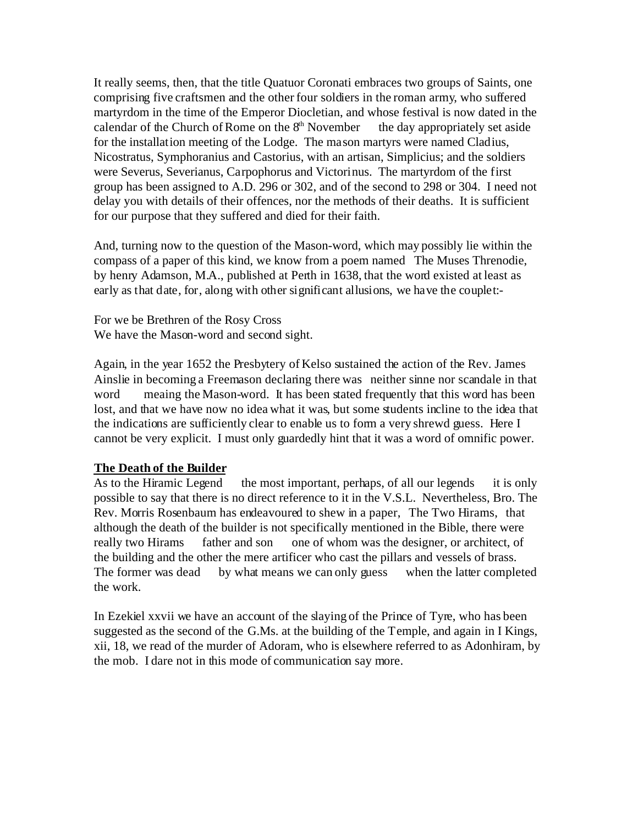It really seems, then, that the title Quatuor Coronati embraces two groups of Saints, one comprising five craftsmen and the other four soldiers in the roman army, who suffered martyrdom in the time of the Emperor Diocletian, and whose festival is now dated in the calendar of the Church of Rome on the  $8<sup>th</sup>$  November the day appropriately set aside for the installation meeting of the Lodge. The mason martyrs were named Cladius, Nicostratus, Symphoranius and Castorius, with an artisan, Simplicius; and the soldiers were Severus, Severianus, Carpophorus and Victorinus. The martyrdom of the first group has been assigned to A.D. 296 or 302, and of the second to 298 or 304. I need not delay you with details of their offences, nor the methods of their deaths. It is sufficient for our purpose that they suffered and died for their faith.

And, turning now to the question of the Mason-word, which may possibly lie within the compass of a paper of this kind, we know from a poem named The Muses Threnodie, by henry Adamson, M.A., published at Perth in 1638, that the word existed at least as early as that date, for, along with other significant allusions, we have the couplet:-

For we be Brethren of the Rosy Cross We have the Mason-word and second sight.

Again, in the year 1652 the Presbytery of Kelso sustained the action of the Rev. James Ainslie in becoming a Freemason declaring there was neither sinne nor scandale in that word meaing the Mason-word. It has been stated frequently that this word has been lost, and that we have now no idea what it was, but some students incline to the idea that the indications are sufficiently clear to enable us to form a very shrewd guess. Here I cannot be very explicit. I must only guardedly hint that it was a word of omnific power.

## **The Death of the Builder**

As to the Hiramic Legend the most important, perhaps, of all our legends it is only possible to say that there is no direct reference to it in the V.S.L. Nevertheless, Bro. The Rev. Morris Rosenbaum has endeavoured to shew in a paper, The Two Hirams, that although the death of the builder is not specifically mentioned in the Bible, there were really two Hirams father and son one of whom was the designer, or architect, of the building and the other the mere artificer who cast the pillars and vessels of brass. The former was dead by what means we can only guess when the latter completed the work.

In Ezekiel xxvii we have an account of the slaying of the Prince of Tyre, who has been suggested as the second of the G.Ms. at the building of the Temple, and again in I Kings, xii, 18, we read of the murder of Adoram, who is elsewhere referred to as Adonhiram, by the mob. I dare not in this mode of communication say more.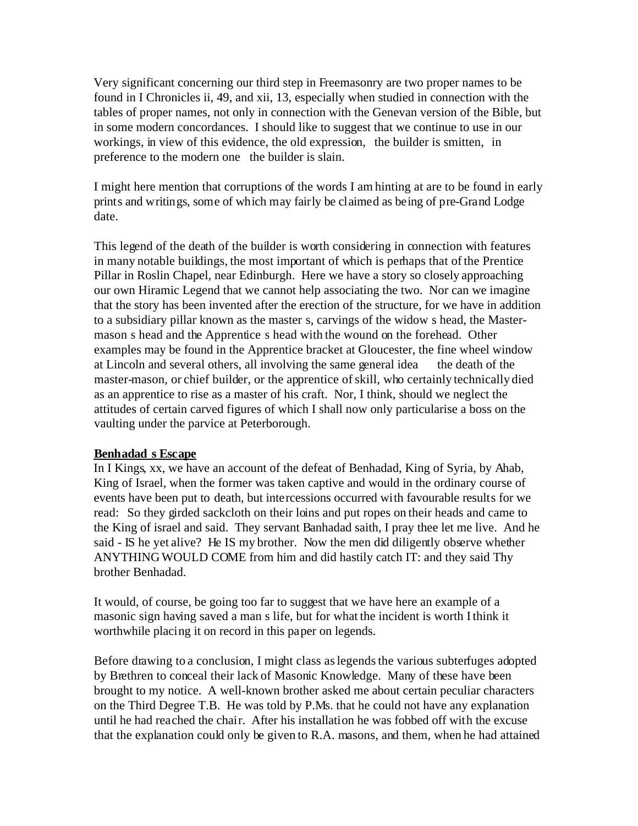Very significant concerning our third step in Freemasonry are two proper names to be found in I Chronicles ii, 49, and xii, 13, especially when studied in connection with the tables of proper names, not only in connection with the Genevan version of the Bible, but in some modern concordances. I should like to suggest that we continue to use in our workings, in view of this evidence, the old expression, the builder is smitten, in preference to the modern one the builder is slain.

I might here mention that corruptions of the words I am hinting at are to be found in early prints and writings, some of which may fairly be claimed as being of pre-Grand Lodge date.

This legend of the death of the builder is worth considering in connection with features in many notable buildings, the most important of which is perhaps that of the Prentice Pillar in Roslin Chapel, near Edinburgh. Here we have a story so closely approaching our own Hiramic Legend that we cannot help associating the two. Nor can we imagine that the story has been invented after the erection of the structure, for we have in addition to a subsidiary pillar known as the master s, carvings of the widow s head, the Mastermason s head and the Apprentice s head with the wound on the forehead. Other examples may be found in the Apprentice bracket at Gloucester, the fine wheel window at Lincoln and several others, all involving the same general idea the death of the master-mason, or chief builder, or the apprentice of skill, who certainly technically died as an apprentice to rise as a master of his craft. Nor, I think, should we neglect the attitudes of certain carved figures of which I shall now only particularise a boss on the vaulting under the parvice at Peterborough.

## **Benhadad s Escape**

In I Kings, xx, we have an account of the defeat of Benhadad, King of Syria, by Ahab, King of Israel, when the former was taken captive and would in the ordinary course of events have been put to death, but intercessions occurred with favourable results for we read: So they girded sackcloth on their loins and put ropes on their heads and came to the King of israel and said. They servant Banhadad saith, I pray thee let me live. And he said - IS he yet alive? He IS my brother. Now the men did diligently observe whether ANYTHING WOULD COME from him and did hastily catch IT: and they said Thy brother Benhadad.

It would, of course, be going too far to suggest that we have here an example of a masonic sign having saved a man s life, but for what the incident is worth I think it worthwhile placing it on record in this paper on legends.

Before drawing to a conclusion, I might class as legends the various subterfuges adopted by Brethren to conceal their lack of Masonic Knowledge. Many of these have been brought to my notice. A well-known brother asked me about certain peculiar characters on the Third Degree T.B. He was told by P.Ms. that he could not have any explanation until he had reached the chair. After his installation he was fobbed off with the excuse that the explanation could only be given to R.A. masons, and them, when he had attained